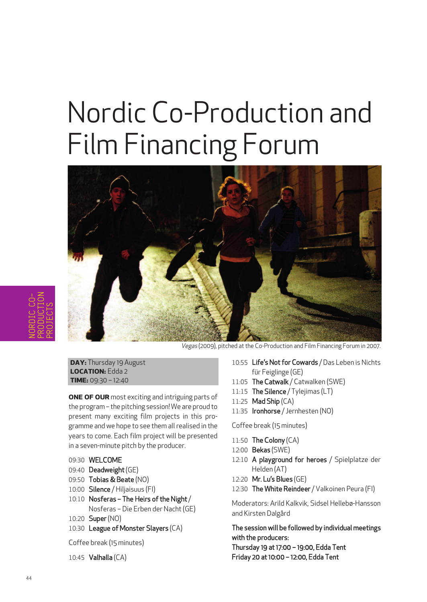# Nordic Co-Production and Film Financing Forum



Vegas (2009), pitched at the Co-Production and Film Financing Forum in 2007.

**DAY:** Thursday 19 August **LOcATiOn:** Edda 2 **TimE:** 09:30 – 12:40

**OnE Of OuR** most exciting and intriguing parts of the program– the pitching session! We are proud to present many exciting film projects in this programme and we hope to see them all realised in the years to come. Each film project will be presented in a seven-minute pitch by the producer.

- 09:30 WELCOME
- 09:40 Deadweight(GE)
- 09:50 Tobias & Beate (NO)
- 10:00 Silence / Hiljaisuus (FI)
- 10:10 Nosferas The Heirs of the Night / Nosferas – Die Erben der Nacht(GE)
- 10:20 Super (NO)
- 10:30 League of Monster Slayers (CA)

Coffee break (15 minutes)

10:45 Valhalla (CA)

- 10:55 Life's Not for Cowards / Das Leben is Nichts für Feiglinge (GE)
- 11:05 The Catwalk / Catwalken (SWE)
- 11:15 The Silence / Tylejimas (LT)
- 11:25 Mad Ship (CA)
- 11:35 **Ironhorse** / Jernhesten (NO)

#### Coffee break (15 minutes)

- 11:50 The Colony (CA)
- 12:00 Bekas (SWE)
- 12:10 A playground for heroes / Spielplatze der Helden (AT)
- 12:20 Mr. Lu's Blues (GE)
- 12:30 The White Reindeer / Valkoinen Peura (FI)

Moderators: Arild Kalkvik, Sidsel Hellebø-Hansson and Kirsten Dalgård

The session will be followed by individual meetings with the producers: Thursday 19 at 17:00 – 19:00, Edda Tent Friday 20 at 10:00 – 12:00, Edda Tent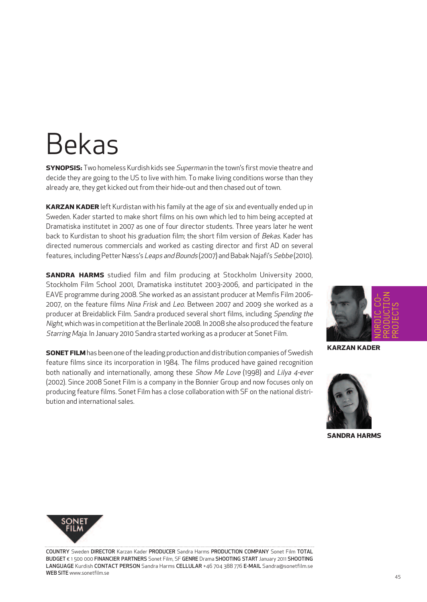### Bekas

**SYnOPSiS:** Two homeless Kurdish kids see Superman in the town's first movie theatre and decide they are going to the US to live with him. To make living conditions worse than they already are, they get kicked out from their hide-out and then chased out of town.

**KARzAn KADER** left Kurdistan with his family at the age of six and eventually ended up in Sweden. Kader started to make short films on his own which led to him being accepted at Dramatiska institutet in 2007 as one of four director students. Three years later he went back to Kurdistan to shoot his graduation film; the short film version of Bekas. Kader has directed numerous commercials and worked as casting director and first AD on several features, including Petter Næss's Leaps and Bounds (2007) and Babak Najafi's Sebbe (2010).

**SAnDRA HARmS** studied film and film producing at Stockholm University 2000, Stockholm Film School 2001, Dramatiska institutet 2003-2006, and participated in the EAVE programme during 2008. She worked as an assistant producer at Memfis Film 2006- 2007, on the feature films Nina Frisk and Leo. Between 2007 and 2009 she worked as a producer at Breidablick Film. Sandra produced several short films, including Spending the Night, which was in competition at the Berlinale 2008. In 2008 she also produced the feature Starring Maja. In January 2010 Sandra started working as a producer at Sonet Film.

**SONET FILM** has been one of the leading production and distribution companies of Swedish feature films since its incorporation in 1984. The films produced have gained recognition both nationally and internationally, among these Show Me Love (1998) and Lilya 4-ever (2002). Since 2008 Sonet Film is a company in the Bonnier Group and now focuses only on producing feature films. Sonet Film has a close collaboration with SF on the national distribution and international sales.



**KARzAn KADER**



**SAnDRA HARmS**



COUNTRY Sweden DIRECTOR Karzan Kader PRODUCER Sandra Harms PRODUCTION COMPANY Sonet Film TOTAL BUDGET € 1 500 000 FINANCIER PARTNERS Sonet Film, SF GENRE Drama SHOOTING START January 2011 SHOOTING LANGUAGE Kurdish CONTACT PERSON Sandra Harms CELLULAR +46 704 388 776 E-MAIL Sandra@sonetfilm.se WEB SITE www.sonetfilm.se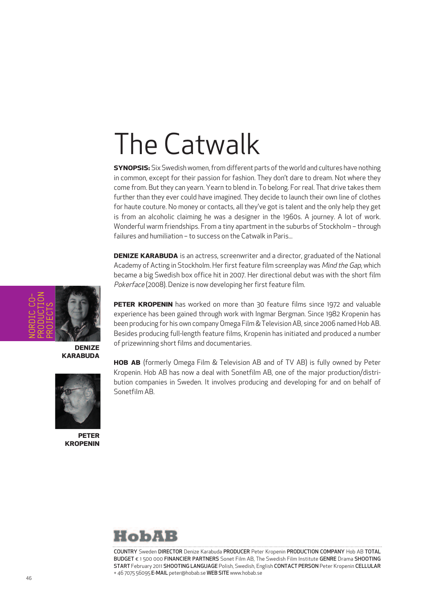# The Catwalk

**SYNOPSIS:** Six Swedish women, from different parts of the world and cultures have nothing in common, except for their passion for fashion. They don't dare to dream. Not where they come from. But they can yearn. Yearn to blend in. To belong. For real. That drive takes them further than they ever could have imagined. They decide to launch their own line of clothes for haute couture. No money or contacts, all they've got is talent and the only help they get is from an alcoholic claiming he was a designer in the 1960s. A journey. A lot of work. Wonderful warm friendships. From a tiny apartment in the suburbs of Stockholm – through failures and humiliation – to success on the Catwalk in Paris...

**DENIZE KARABUDA** is an actress, screenwriter and a director, graduated of the National Academy of Acting in Stockholm. Her first feature film screenplay was Mind the Gap, which became a big Swedish box office hit in 2007. Her directional debut was with the short film Pokerface (2008). Denize is now developing her first feature film.



**DEnizE KARABuDA**



**PETER KROPEnin** **PETER KROPEnin** has worked on more than 30 feature films since 1972 and valuable experience has been gained through work with Ingmar Bergman. Since 1982 Kropenin has been producing for his own company Omega Film & Television AB, since 2006 named Hob AB. Besides producing full-length feature films, Kropenin has initiated and produced a number of prizewinning short films and documentaries.

**HOB AB** (formerly Omega Film & Television AB and of TV AB) is fully owned by Peter Kropenin. Hob AB has now a deal with Sonetfilm AB, one of the major production/distribution companies in Sweden. It involves producing and developing for and on behalf of Sonetfilm AB.



COUNTRY Sweden DIRECTOR Denize Karabuda PRODUCER Peter Kropenin PRODUCTION COMPANY Hob AB TOTAL BUDGET € 1 500 000 FINANCIER PARTNERS Sonet Film AB, The Swedish Film Institute GENRE Drama SHOOTING START February 2011 SHOOTING LANGUAGE Polish, Swedish, English CONTACT PERSON Peter Kropenin CELLULAR + 46 7075 56095 E-MAIL peter@hobab.se WEB SITE www.hobab.se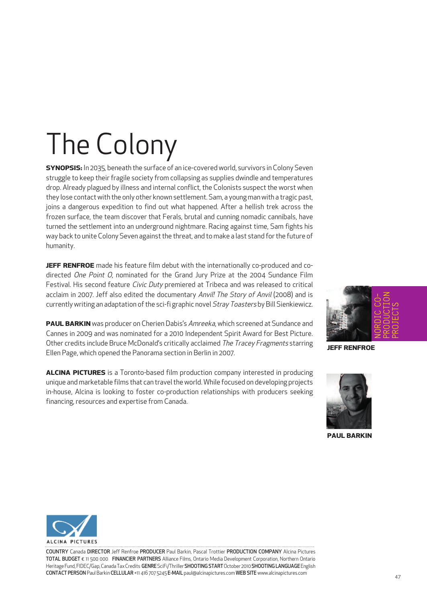# The Colony

**SYnOPSiS:** In 2035, beneath the surface of an ice-covered world, survivors in Colony Seven struggle to keep their fragile society from collapsing as supplies dwindle and temperatures drop. Already plagued by illness and internal conflict, the Colonists suspect the worst when they lose contact with the only other known settlement. Sam, a young man with a tragic past, joins a dangerous expedition to find out what happened. After a hellish trek across the frozen surface, the team discover that Ferals, brutal and cunning nomadic cannibals, have turned the settlement into an underground nightmare. Racing against time, Sam fights his way back to unite Colony Seven against the threat, and to make a last stand for the future of humanity.

**JEFF RENFROE** made his feature film debut with the internationally co-produced and codirected One Point O, nominated for the Grand Jury Prize at the 2004 Sundance Film Festival. His second feature Civic Duty premiered at Tribeca and was released to critical acclaim in 2007. Jeff also edited the documentary Anvil! The Story of Anvil (2008) and is currently writing an adaptation of the sci-fi graphic novel Stray Toasters by Bill Sienkiewicz.

**PAuL BARKin** was producer on Cherien Dabis's Amreeka, which screened at Sundance and Cannes in 2009 and was nominated for a 2010 Independent Spirit Award for Best Picture. Other credits include Bruce McDonald's critically acclaimed The Tracey Fragments starring Ellen Page, which opened the Panorama section in Berlin in 2007.

**ALcinA PicTuRES** is a Toronto-based film production company interested in producing unique and marketable films that can travel the world. While focused on developing projects in-house, Alcina is looking to foster co-production relationships with producers seeking financing, resources and expertise from Canada.



**JEff REnfROE**



**PAuL BARKin**



COUNTRY Canada DIRECTOR Jeff Renfroe PRODUCER Paul Barkin, Pascal Trottier PRODUCTION COMPANY Alcina Pictures TOTAL BUDGET € 11 500 000 FINANCIER PARTNERS Alliance Films, Ontario Media Development Corporation, Northern Ontario Heritage Fund, FIDEC/Gap, Canada Tax Credits GENRE SciFi/Thriller SHOOTING START October 2010 SHOOTING LANGUAGE English CONTACT PERSONPaul Barkin CELLULAR +11 416 707 5245 E-MAIL paul@alcinapictures.com WEB SITE www.alcinapictures.com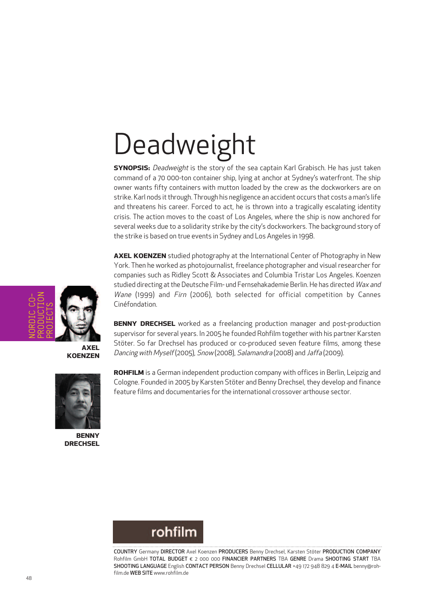# **Deadweight**

**SYNOPSIS:** Deadweight is the story of the sea captain Karl Grabisch. He has just taken command of a 70 000-ton container ship, lying at anchor at Sydney's waterfront. The ship owner wants fifty containers with mutton loaded by the crew as the dockworkers are on strike. Karl nods it through. Through his negligence an accident occurs that costs a man's life and threatens his career. Forced to act, he is thrown into a tragically escalating identity crisis. The action moves to the coast of Los Angeles, where the ship is now anchored for several weeks due to a solidarity strike by the city's dockworkers. The background story of the strike is based on true events in Sydney and Los Angeles in 1998.

**AxEL KOEnzEn** studied photography at the International Center of Photography in New York. Then he worked as photojournalist, freelance photographer and visual researcher for companies such as Ridley Scott & Associates and Columbia Tristar Los Angeles. Koenzen studied directing at the Deutsche Film- und Fernsehakademie Berlin. He has directed Wax and Wane (1999) and Firn (2006), both selected for official competition by Cannes Cinéfondation.

**BEnnY DREcHSEL** worked as a freelancing production manager and post-production supervisor for several years. In 2005 he founded Rohfilm together with his partner Karsten Stöter. So far Drechsel has produced or co-produced seven feature films, among these Dancing with Myself(2005), Snow (2008), Salamandra (2008) and Jaffa (2009).



**KOEnzEn**

**BEnnY DREcHSEL**

**ROHfiLm** is a German independent production company with offices in Berlin, Leipzig and Cologne. Founded in 2005 by Karsten Stöter and Benny Drechsel, they develop and finance feature films and documentaries forthe international crossover arthouse sector.



COUNTRY Germany DIRECTOR Axel Koenzen PRODUCERS Benny Drechsel, Karsten Stöter PRODUCTION COMPANY Rohfilm GmbH TOTAL BUDGET € 2 000 000 FINANCIER PARTNERS TBA GENRE Drama SHOOTING START TBA SHOOTING LANGUAGE English CONTACT PERSON Benny Drechsel CELLULAR +49 172 948 829 4 E-MAIL benny@rohfilm.de WEB SITE www.rohfilm.de

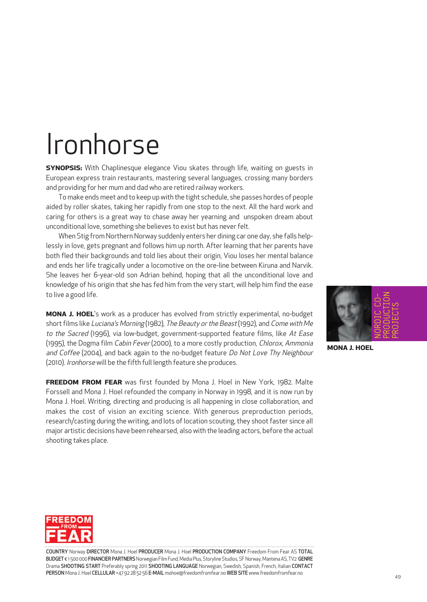### Ironhorse

**SYnOPSiS:** With Chaplinesque elegance Viou skates through life, waiting on guests in European express train restaurants, mastering several languages, crossing many borders and providing for her mum and dad who are retired railway workers.

To make ends meet and to keep up with the tight schedule, she passes hordes of people aided by roller skates, taking her rapidly from one stop to the next. All the hard work and caring for others is a great way to chase away her yearning and unspoken dream about unconditional love, something she believes to exist but has never felt.

When Stig from Northern Norway suddenly enters her dining car one day, she falls helplessly in love, gets pregnant and follows him up north. After learning that her parents have both fled their backgrounds and told lies about their origin, Viou loses her mental balance and ends her life tragically under a locomotive on the ore-line between Kiruna and Narvik. She leaves her 6-year-old son Adrian behind, hoping that all the unconditional love and knowledge of his origin that she has fed him from the very start, will help him find the ease to live a good life.

**mOnA J. HOEL**'s work as a producer has evolved from strictly experimental, no-budget short films like Luciana's Morning (1982), The Beauty or the Beast (1992), and Come with Me to the Sacred (1996), via low-budget, government-supported feature films, like At Ease (1995), the Dogma film Cabin Fever (2000), to a more costly production, Chlorox, Ammonia and Coffee (2004), and back again to the no-budget feature Do Not Love Thy Neighbour (2010). Ironhorse will be the fifth full length feature she produces.

**fREEDOm fROm fEAR** was first founded by Mona J. Hoel in New York, 1982. Malte Forssell and Mona J. Hoel refounded the company in Norway in 1998, and it is now run by Mona J. Hoel. Writing, directing and producing is all happening in close collaboration, and makes the cost of vision an exciting science. With generous preproduction periods, research/casting during the writing, and lots of location scouting, they shoot faster since all major artistic decisions have been rehearsed, also with the leading actors, before the actual shooting takes place.



**mOnA J. HOEL**



COUNTRY Norway DIRECTOR Mona J. Hoel PRODUCER Mona J. Hoel PRODUCTION COMPANY Freedom From Fear AS TOTAL BUDGET € 1500 000 FINANCIER PARTNERS Norwegian Film Fund, Media Plus, Storyline Studios, SF Norway, Mantena AS, TV2 GENRE Drama SHOOTING START Preferably spring 2011 SHOOTING LANGUAGE Norwegian, Swedish, Spanish, French, Italian CONTACT PERSON Mona J. Hoel CELLULAR +47 92 28 52 56 E-MAIL mohoe@freedomfromfear.no WEB SITE www.freedomfromfear.no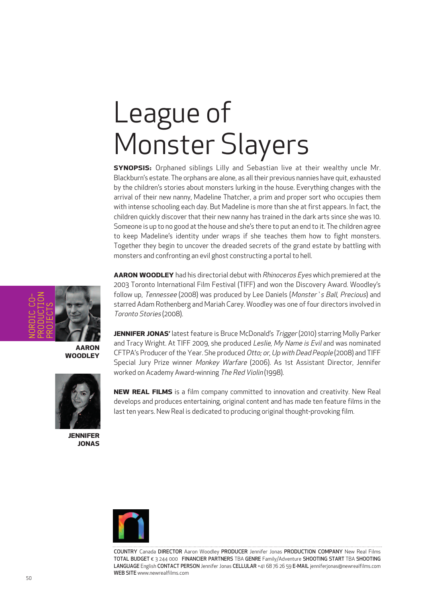# League of Monster Slayers

**SYnOPSiS:** Orphaned siblings Lilly and Sebastian live at their wealthy uncle Mr. Blackburn's estate. The orphans are alone, as alltheir previous nannies have quit, exhausted by the children's stories about monsters lurking in the house. Everything changes with the arrival of their new nanny, Madeline Thatcher, a prim and proper sort who occupies them with intense schooling each day. But Madeline is more than she at first appears. In fact, the children quickly discover that their new nanny has trained in the dark arts since she was 10. Someone is up to no good at the house and she's there to put an end to it. The children agree to keep Madeline's identity under wraps if she teaches them how to fight monsters. Together they begin to uncover the dreaded secrets of the grand estate by battling with monsters and confronting an evil ghost constructing a portal to hell.

**AAROn WOODLEY** had his directorial debut with Rhinoceros Eyes which premiered at the 2003 Toronto International Film Festival (TIFF) and won the Discovery Award. Woodley's follow up, Tennessee (2008) was produced by Lee Daniels (Monster's Ball, Precious) and starred Adam Rothenberg and Mariah Carey. Woodley was one offour directors involved in Toronto Stories (2008).

**JENNIFER JONAS'** latest feature is Bruce McDonald's Trigger (2010) starring Molly Parker and Tracy Wright. At TIFF 2009, she produced Leslie, My Name is Evil and was nominated CFTPA's Producer ofthe Year. She produced Otto; or, Up with Dead People (2008) and TIFF Special Jury Prize winner Monkey Warfare (2006). As 1st Assistant Director, Jennifer worked on Academy Award-winning The Red Violin (1998).

**nEW REAL fiLmS** is a film company committed to innovation and creativity. New Real develops and produces entertaining, original content and has made ten feature films in the last ten years. New Real is dedicated to producing original thought-provoking film.



COUNTRY Canada DIRECTOR Aaron Woodley PRODUCER Jennifer Jonas PRODUCTION COMPANY New Real Films TOTAL BUDGET € 3 244 000 FINANCIER PARTNERS TBA GENRE Family/Adventure SHOOTING START TBA SHOOTING LANGUAGE English CONTACT PERSON Jennifer Jonas CELLULAR +41 68 76 26 59 E-MAIL jenniferjonas@newrealfilms.com WEB SITE www.newrealfilms.com



**AAROn WOODLEY**



**JEnnifER JOnAS**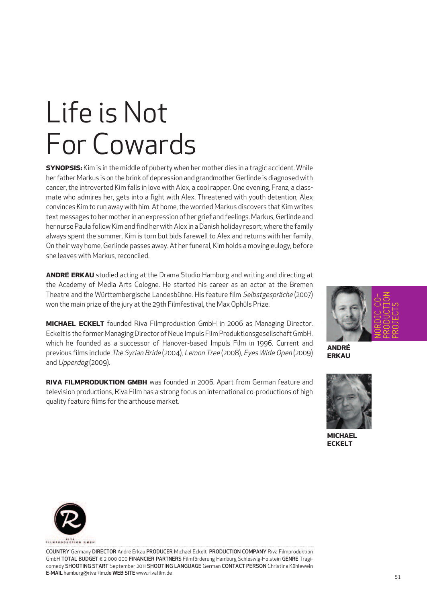# Life is Not For Cowards

**SYnOPSiS:** Kim is in the middle of puberty when her mother dies in a tragic accident. While her father Markus is on the brink of depression and grandmother Gerlinde is diagnosed with cancer, the introverted Kim falls in love with Alex, a cool rapper. One evening, Franz, a classmate who admires her, gets into a fight with Alex. Threatened with youth detention, Alex convinces Kim to run away with him. At home, the worried Markus discovers that Kim writes text messages to her mother in an expression of her grief and feelings. Markus, Gerlinde and her nurse Paula follow Kim and find her with Alex in aDanish holiday resort, where the family always spent the summer. Kim is torn but bids farewell to Alex and returns with her family. On their way home, Gerlinde passes away. At her funeral, Kim holds a moving eulogy, before she leaves with Markus, reconciled.

**AnDRÉ ERKAu** studied acting at the Drama Studio Hamburg and writing and directing at the Academy of Media Arts Cologne. He started his career as an actor at the Bremen Theatre and the Württembergische Landesbühne. His feature film Selbstgespräche (2007) won the main prize of the jury at the 29th Filmfestival, the Max Ophüls Prize.

**micHAEL EcKELT** founded Riva Filmproduktion GmbH in 2006 as Managing Director. Eckelt is the former Managing Director of Neue Impuls Film Produktionsgesellschaft GmbH, which he founded as a successor of Hanover-based Impuls Film in 1996. Current and previous films include The Syrian Bride (2004), Lemon Tree (2008), Eyes Wide Open (2009) and Upperdog (2009).

**RiVA fiLmPRODuKTiOn gmBH** was founded in 2006. Apart from German feature and television productions, Riva Film has a strong focus on international co-productions of high quality feature films for the arthouse market.



**AnDRÉ ERKAu**



**micHAEL EcKELT**



COUNTRY Germany DIRECTOR André Erkau PRODUCER Michael Eckelt PRODUCTION COMPANY Riva Filmproduktion GmbH TOTAL BUDGET € 2 000 000 FINANCIER PARTNERS Filmförderung Hamburg Schleswig-Holstein GENRE Tragicomedy SHOOTING START September 2011 SHOOTING LANGUAGE German CONTACT PERSON Christina Kühlewein E-MAIL hamburg@rivafilm.de WEB SITE www.rivafilm.de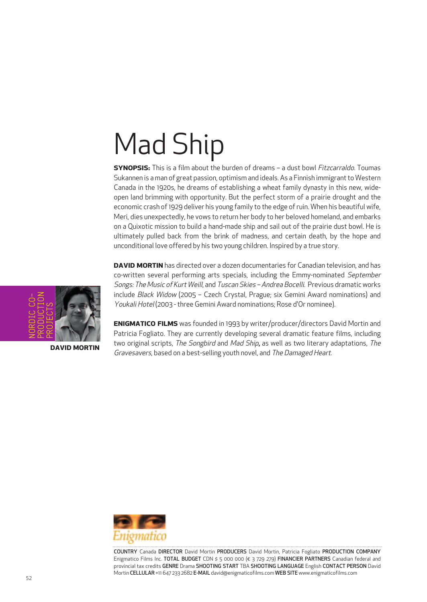# Mad Ship

**SYNOPSIS:** This is a film about the burden of dreams - a dust bowl Fitzcarraldo. Toumas Sukannen is a man of great passion, optimism and ideals. As a Finnish immigrant to Western Canada in the 1920s, he dreams of establishing a wheat family dynasty in this new, wideopen land brimming with opportunity. But the perfect storm of a prairie drought and the economic crash of 1929 deliver his young family to the edge of ruin. When his beautiful wife, Meri, dies unexpectedly, he vows to return her body to her beloved homeland, and embarks on a Quixotic mission to build a hand-made ship and sail out of the prairie dust bowl. He is ultimately pulled back from the brink of madness, and certain death, by the hope and unconditional love offered by his two young children. Inspired by a true story.

**DAVID MORTIN** has directed over a dozen documentaries for Canadian television, and has co-written several performing arts specials, including the Emmy-nominated September Songs: The Music of Kurt Weill, and Tuscan Skies – Andrea Bocelli. Previous dramatic works include Black Widow (2005 – Czech Crystal, Prague; six Gemini Award nominations) and Youkali Hotel (2003 - three Gemini Award nominations; Rose d'Or nominee).

**EnigmATicO fiLmS** was founded in 1993 by writer/producer/directors David Mortin and Patricia Fogliato. They are currently developing several dramatic feature films, including two original scripts, The Songbird and Mad Ship, as well as two literary adaptations, The

Gravesavers, based on a best-selling youth novel, and The Damaged Heart.



COUNTRY Canada DIRECTOR David Mortin PRODUCERS David Mortin, Patricia Fogliato PRODUCTION COMPANY Enigmatico Films Inc. TOTAL BUDGET CDN \$ 5 000 000 (€ 3 729 279) FINANCIER PARTNERS Canadian federal and provincial tax credits GENRE Drama SHOOTING START TBA SHOOTING LANGUAGE English CONTACT PERSON David Mortin CELLULAR +11 647 233 2682 E-MAIL david@enigmaticofilms.com WEB SITE www.enigmaticofilms.com



**DAViD mORTin**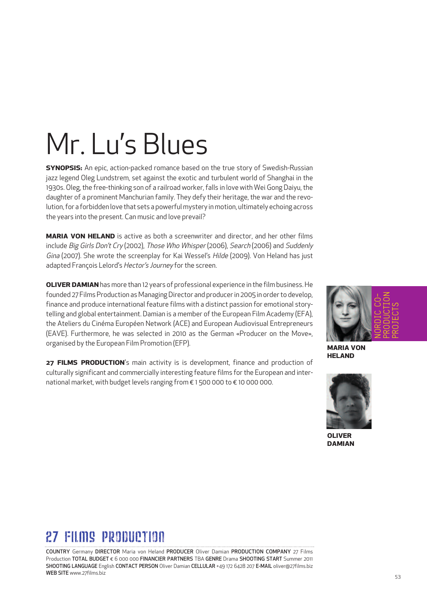# Mr. Lu 's Blues

**SYnOPSiS:** An epic, action-packed romance based on the true story of Swedish-Russian jazz legend Oleg Lundstrem, set against the exotic and turbulent world of Shanghai in the 1930s. Oleg, the free-thinking son of a railroad worker, falls in love with Wei Gong Daiyu, the daughter of a prominent Manchurian family. They defy their heritage, the war and the revolution,for a forbidden love that sets a powerfulmystery inmotion, ultimately echoing across the years into the present. Can music and love prevail?

**mARiA VOn HELAnD** is active as both a screenwriter and director, and her other films include Big Girls Don't Cry (2002), Those Who Whisper (2006), Search (2006) and Suddenly Gina (2007). She wrote the screenplay for Kai Wessel's Hilde (2009). Von Heland has just adapted François Lelord's Hector's Journey for the screen.

**OLIVER DAMIAN** has more than 12 years of professional experience in the film business. He founded 27 Films Production as Managing Director and producer in 2005 in order to develop, finance and produce international feature films with a distinct passion for emotional storytelling and global entertainment. Damian is a member ofthe European Film Academy (EFA), the Ateliers du Cinéma Européen Network (ACE) and European Audiovisual Entrepreneurs (EAVE). Furthermore, he was selected in 2010 as the German «Producer on the Move», organised by the European Film Promotion (EFP).

**27 fiLmS PRODucTiOn**'s main activity is is development, finance and production of culturally significant and commercially interesting feature films forthe European and international market, with budget levels ranging from € 1 500 000 to € 10 000 000.



**mARiA VOn HELAnD**



**OLiVER DAmiAn**

### 27 FILMS PROBUCTION

COUNTRY Germany DIRECTOR Maria von Heland PRODUCER Oliver Damian PRODUCTION COMPANY 27 Films Production TOTAL BUDGET € 6 000 000 FINANCIER PARTNERS TBA GENRE Drama SHOOTING START Summer 2011 SHOOTING LANGUAGE English CONTACT PERSON Oliver Damian CELLULAR +49 172 6428 207 E-MAIL oliver@27films.biz WEB SITE www.27films.biz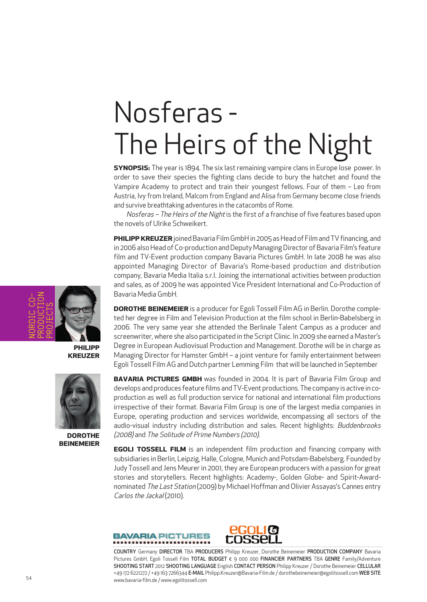# Nosferas - The Heirs of the Night

**SYnOPSiS:** The year is 1894. The six last remaining vampire clans in Europe lose power. In order to save their species the fighting clans decide to bury the hatchet and found the Vampire Academy to protect and train their youngest fellows. Four of them – Leo from Austria, Ivy from Ireland, Malcom from England and Alisa from Germany become close friends and survive breathtaking adventures in the catacombs of Rome.

Nosferas - The Heirs of the Night is the first of a franchise of five features based upon the novels of Ulrike Schweikert.

**PHILIPP KREUZER** joined Bavaria Film GmbH in 2005 as Head of Film and TV financing, and in 2006 also Head of Co-production and Deputy Managing Director of Bavaria Film's feature film and TV-Event production company Bavaria Pictures GmbH. In late 2008 he was also appointed Managing Director of Bavaria's Rome-based production and distribution company, Bavaria Media Italia s.r.l. Joining the international activities between production and sales, as of 2009 he was appointed Vice President International and Co-Production of Bavaria Media GmbH.

**DOROTHE BEinEmEiER** is a producer for Egoli Tossell Film AG in Berlin. Dorothe completed her degree in Film and Television Production at the film school in Berlin-Babelsberg in 2006. The very same year she attended the Berlinale Talent Campus as a producer and screenwriter, where she also participated in the Script Clinic. In 2009 she earned a Master's Degree in European Audiovisual Production and Management. Dorothe will be in charge as Managing Director for Hamster GmbH – a joint venture for family entertainment between Egoli Tossell Film AG and Dutch partner Lemming Film that will be launched in September

**BAVARIA PICTURES GMBH** was founded in 2004. It is part of Bavaria Film Group and develops and produces feature films and TV-Event productions. The company is active in coproduction as well as full production service for national and international film productions irrespective of their format. Bavaria Film Group is one of the largest media companies in Europe, operating production and services worldwide, encompassing all sectors of the audio-visual industry including distribution and sales. Recent highlights: Buddenbrooks (2008) and The Solitude of Prime Numbers (2010).

**EgOLi TOSSELL fiLm** is an independent film production and financing company with subsidiaries in Berlin, Leipzig, Halle, Cologne, Munich and Potsdam-Babelsberg. Founded by Judy Tossell and Jens Meurer in 2001, they are European producers with a passion for great stories and storytellers. Recent highlights: Academy-, Golden Globe- and Spirit-Awardnominated The Last Station (2009) by Michael Hoffman and Olivier Assayas's Cannes entry Carlos the Jackal (2010).





COUNTRY Germany DIRECTOR TBA PRODUCERS Philipp Kreuzer, Dorothe Beinemeier PRODUCTION COMPANY Bavaria Pictures GmbH, Egoli Tossell Film TOTAL BUDGET € 9 000 000 FINANCIER PARTNERS TBA GENRE Family/Adventure SHOOTING START 2012 SHOOTING LANGUAGE English CONTACT PERSON Philipp Kreuzer / Dorothe Beinemeier CELLULAR +49 172 6221272 / +49 163 7266344 E-MAIL Philipp.Kreuzer@Bavaria-Film.de / dorothebeinemeier@egolitossell.com WEB SITE 54 www.bavaria-film.de / www.egolitossell.com



**PHiLiPP KREuzER**



**DOROTHE BEinEmEiER**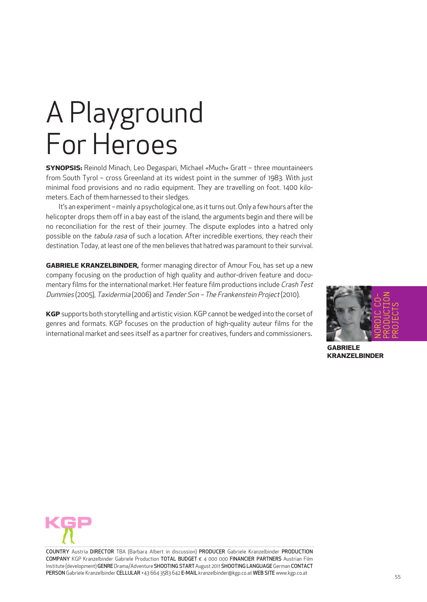# A Playground For Heroes

**SYnOPSiS:** Reinold Minach, Leo Degaspari, Michael «Much» Gratt – three mountaineers from South Tyrol – cross Greenland at its widest point in the summer of 1983. With just minimal food provisions and no radio equipment. They are travelling on foot. 1400 kilometers. Each of them harnessed to their sledges.

It's an experiment - mainly a psychological one, as it turns out. Only a few hours after the helicopter drops them off in a bay east of the island, the arguments begin and there will be no reconciliation for the rest of their journey. The dispute explodes into a hatred only possible on the tabula rasa of such a location. After incredible exertions, they reach their destination. Today, at least one of the men believes that hatred was paramount to their survival.

**gABRiELE KRAnzELBinDER,** former managing director of Amour Fou, has set up a new company focusing on the production of high quality and author-driven feature and documentary films for the international market. Her feature film productions include Crash Test Dummies (2005), Taxidermia (2006) and Tender Son – The Frankenstein Project(2010).

**KgP** supports both storytelling and artistic vision. KGP cannot be wedged into the corset of genres and formats. KGP focuses on the production of high-quality auteur films for the international market and sees itself as a partner for creatives, funders and commissioners.



**gABRiELE KRAnzELBinDER**



COUNTRY Austria DIRECTOR TBA (Barbara Albert in discussion) PRODUCER Gabriele Kranzelbinder PRODUCTION COMPANY KGP Kranzelbinder Gabriele Production TOTAL BUDGET € 4 000 000 FINANCIER PARTNERS Austrian Film Institute (development) GENRE Drama/Adventure SHOOTING START August 2011 SHOOTING LANGUAGE German CONTACT PERSON Gabriele Kranzelbinder CELLULAR +43 664 3583 642 E-MAIL kranzelbinder@kgp.co.at WEB SITE www.kgp.co.at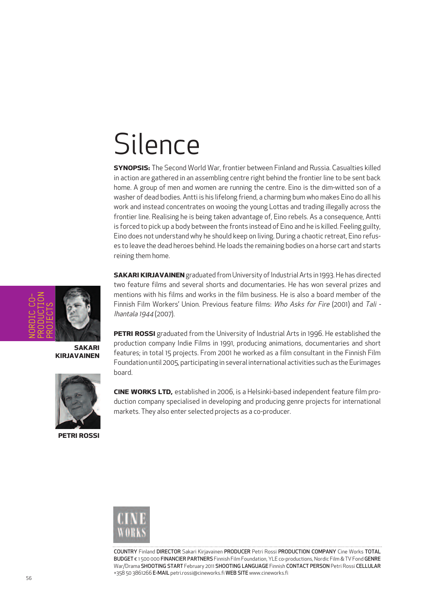### Silence

**SYnOPSiS:** The Second World War, frontier between Finland and Russia. Casualties killed in action are gathered in an assembling centre right behind the frontier line to be sent back home. A group of men and women are running the centre. Eino is the dim-witted son of a washer of dead bodies. Antti is his lifelong friend, a charming bum who makes Eino do all his work and instead concentrates on wooing the young Lottas and trading illegally across the frontier line. Realising he is being taken advantage of, Eino rebels. As a consequence, Antti is forced to pick up a body between the fronts instead of Eino and he is killed. Feeling guilty, Eino does not understand why he should keep on living. During a chaotic retreat, Eino refuses to leave the dead heroes behind. He loads the remaining bodies on a horse cart and starts reining them home.

**SAKARI KIRJAVAINEN** graduated from University of Industrial Arts in 1993. He has directed two feature films and several shorts and documentaries. He has won several prizes and mentions with his films and works in the film business. He is also a board member of the Finnish Film Workers' Union. Previous feature films: Who Asks for Fire (2001) and Tali -Ihantala 1944 (2007).

**SAKARi** NORDIC CO-PRODUCTION PROJECTS

**KiRJAVAinEn**



**PETRi ROSSi**

**PETRi ROSSi** graduated from the University of Industrial Arts in 1996. He established the production company Indie Films in 1991, producing animations, documentaries and short features; in total 15 projects. From 2001 he worked as a film consultant in the Finnish Film Foundation until 2005, participating in several international activities such as the Eurimages board.

**cinE WORKS LTD,** established in 2006, is a Helsinki-based independent feature film production company specialised in developing and producing genre projects for international markets. They also enter selected projects as a co-producer.



COUNTRY Finland DIRECTOR Sakari Kirjavainen PRODUCER Petri Rossi PRODUCTION COMPANY Cine Works TOTAL BUDGET € 1 500 000 FINANCIER PARTNERS Finnish Film Foundation, YLE co-productions, Nordic Film & TV Fond GENRE War/Drama SHOOTING START February 2011 SHOOTING LANGUAGE Finnish CONTACT PERSON Petri Rossi CELLULAR +358 50 3861266 E-MAIL petri.rossi@cineworks.fi WEB SITE www.cineworks.fi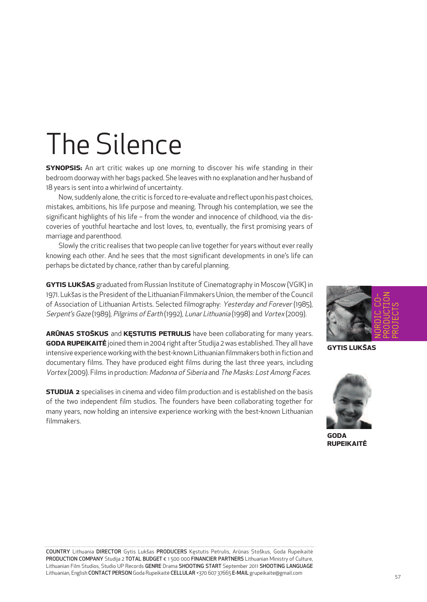# The Silence

**SYnOPSiS:** An art critic wakes up one morning to discover his wife standing in their bedroom doorway with her bags packed. She leaves with no explanation and her husband of 18 years is sent into a whirlwind of uncertainty.

Now, suddenly alone, the critic is forced to re-evaluate and reflect upon his past choices, mistakes, ambitions, his life purpose and meaning. Through his contemplation, we see the significant highlights of his life – from the wonder and innocence of childhood, via the discoveries of youthful heartache and lost loves, to, eventually, the first promising years of marriage and parenthood.

Slowly the critic realises that two people can live together for years without ever really knowing each other. And he sees that the most significant developments in one's life can perhaps be dictated by chance, rather than by careful planning.

**gYTiS LuKŠAS** graduated from Russian Institute of Cinematography in Moscow (VGIK) in 1971. Lukšas is the President of the Lithuanian Filmmakers Union, the member of the Council of Association of Lithuanian Artists. Selected filmography: Yesterday and Forever (1985), Serpent's Gaze (1989), Pilgrims of Earth (1992), Lunar Lithuania (1998) and Vortex (2009).

**ARŪnAS STOŠKuS** and **KĘSTuTiS PETRuLiS** have been collaborating for many years. **gODA RuPEiKAiTĖ** joined them in 2004 right after Studija 2 was established. They all have intensive experience working with the best-known Lithuanian filmmakers both in fiction and documentary films. They have produced eight films during the last three years, including Vortex (2009). Films in production: Madonna of Siberia and The Masks: Lost Among Faces.

**STuDiJA 2** specialises in cinema and video film production and is established on the basis of the two independent film studios. The founders have been collaborating together for many years, now holding an intensive experience working with the best-known Lithuanian filmmakers.



**gYTiS LuKŠAS**



**gODA RuPEiKAiTĖ**

COUNTRY Lithuania DIRECTOR Gytis Lukšas PRODUCERS Kęstutis Petrulis, Arūnas Stoškus, Goda Rupeikaitė PRODUCTION COMPANY Studija 2 TOTAL BUDGET € 1 500 000 FINANCIER PARTNERS Lithuanian Ministry of Culture, Lithuanian Film Studios, Studio UP Records GENRE Drama SHOOTING START September 2011 SHOOTING LANGUAGE Lithuanian, English CONTACT PERSON Goda Rupeikaitė CELLULAR +370 607 37665 E-MAIL grupeikaite@gmail.com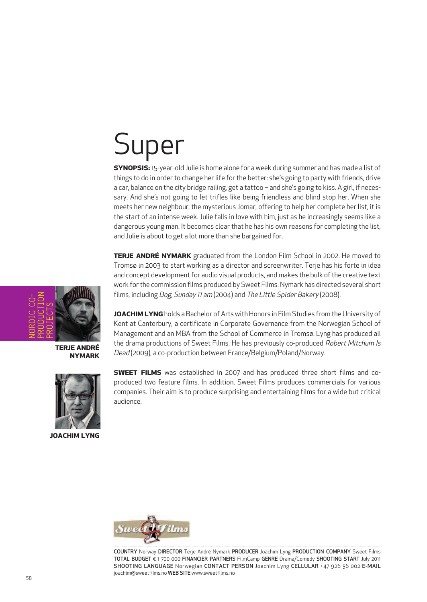# Super

**SYnOPSiS:** 15-year-old Julie is home alone for a week during summer and has made a list of things to do in order to change her life for the better: she's going to party with friends, drive a car, balance on the city bridge railing, get a tattoo – and she's going to kiss. A girl, if necessary. And she's not going to let trifles like being friendless and blind stop her. When she meets her new neighbour, the mysterious Jomar, offering to help her complete her list, it is the start of an intense week. Julie falls in love with him, just as he increasingly seems like a dangerous young man. It becomes clear that he has his own reasons for completing the list, and Julie is about to get a lot more than she bargained for.

**TERJE AnDRÉ nYmARK** graduated from the London Film School in 2002. He moved to Tromsø in 2003 to start working as a director and screenwriter. Terje has his forte in idea and concept development for audio visual products, and makes the bulk of the creative text work for the commission films produced by Sweet Films. Nymark has directed several short films, including Dog, Sunday <sup>11</sup> am (2004) and The Little Spider Bakery (2008).

NORDIC CO-PRODUCTION PROJECTS

**TERJE AnDRÉ nYmARK**



**JOAcHim LYng**

**JOACHIM LYNG** holds a Bachelor of Arts with Honors in Film Studies from the University of Kent at Canterbury, a certificate in Corporate Governance from the Norwegian School of Management and an MBA from the School of Commerce in Tromsø. Lyng has produced all the drama productions of Sweet Films. He has previously co-produced Robert Mitchum Is Dead (2009), a co-production between France/Belgium/Poland/Norway.

**SWEET fiLmS** was established in 2007 and has produced three short films and coproduced two feature films. In addition, Sweet Films produces commercials for various companies. Their aim is to produce surprising and entertaining films for a wide but critical audience.



COUNTRY Norway DIRECTOR Terje André Nymark PRODUCER Joachim Lyng PRODUCTION COMPANY Sweet Films TOTAL BUDGET € 1 700 000 FINANCIER PARTNERS FilmCamp GENRE Drama/Comedy SHOOTING START July 2011 SHOOTING LANGUAGE Norwegian CONTACT PERSON Joachim Lyng CELLULAR +47 926 56 002 E-MAIL joachim@sweetfilms.no WEB SITE www.sweetfilms.no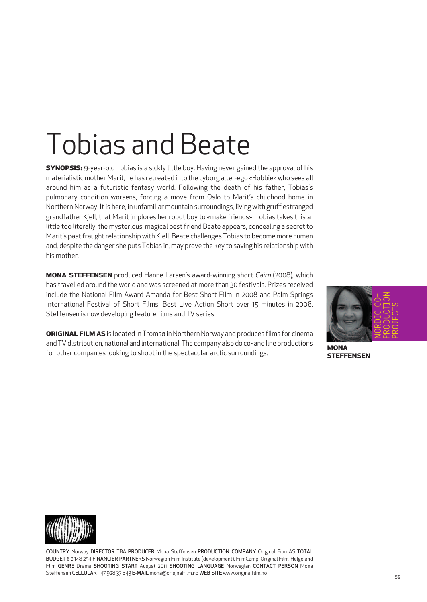# Tobias and Beate

**SYnOPSiS:** 9-year-old Tobias is a sickly little boy. Having never gained the approval of his materialisticmother Marit, he has retreated into the cyborg alter-ego «Robbie» who sees all around him as a futuristic fantasy world. Following the death of his father, Tobias's pulmonary condition worsens, forcing a move from Oslo to Marit's childhood home in Northern Norway. Itis here, in unfamiliar mountain surroundings, living with gruff estranged grandfather Kjell, that Marit implores her robot boy to «make friends». Tobias takes this a little too literally: the mysterious, magical best friend Beate appears, concealing a secret to Marit's past fraught relationship with Kjell. Beate challenges Tobias to become more human and, despite the danger she puts Tobias in, may prove the key to saving his relationship with his mother.

**mOnA STEffEnSEn** produced Hanne Larsen's award-winning short Cairn (2008), which has travelled around the world and was screened at more than 30 festivals. Prizes received include the National Film Award Amanda for Best Short Film in 2008 and Palm Springs International Festival of Short Films: Best Live Action Short over 15 minutes in 2008. Steffensen is now developing feature films and TV series.

**ORIGINAL FILM AS** is located in Tromsø in Northern Norway and produces films for cinema and TV distribution, national and international. The company also do co- and line productions for other companies looking to shoot in the spectacular arctic surroundings.



**mOnA STEffEnSEn**



COUNTRY Norway DIRECTOR TBA PRODUCER Mona Steffensen PRODUCTION COMPANY Original Film AS TOTAL BUDGET € 2 148 254 FINANCIER PARTNERS Norwegian Film Institute (development), FilmCamp, Original Film, Helgeland Film GENRE Drama SHOOTING START August 2011 SHOOTING LANGUAGE Norwegian CONTACT PERSON Mona Steffensen CELLULAR +47 928 37 843 E-MAIL mona@originalfilm.no WEB SITE www.originalfilm.no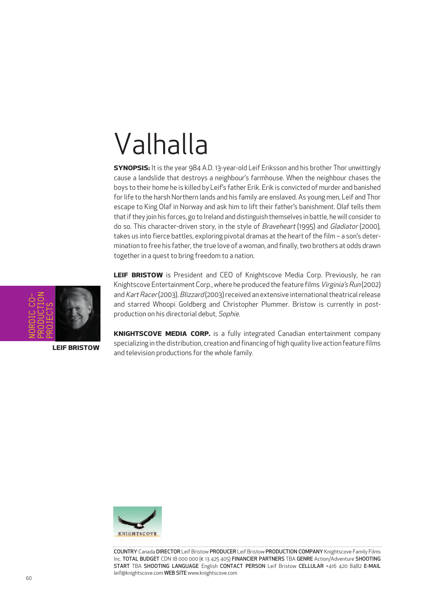# Valhalla

**SYnOPSiS:** It is the year 984 A.D. 13-year-old Leif Eriksson and his brother Thor unwittingly cause a landslide that destroys a neighbour's farmhouse. When the neighbour chases the boys to their home he is killed by Leif's father Erik. Erik is convicted of murder and banished for life to the harsh Northern lands and his family are enslaved. As young men, Leif and Thor escape to King Olaf in Norway and ask him to lift their father's banishment. Olaf tells them that if they join his forces, go to Ireland and distinguish themselves in battle, he will consider to do so. This character-driven story, in the style of Braveheart (1995) and Gladiator (2000), takes us into fierce battles, exploring pivotal dramas at the heart of the film - a son's determination to free his father, the true love of a woman, and finally, two brothers at odds drawn together in a quest to bring freedom to a nation.

NORDIC CO-PRODUCTION PROJECTS

**LEif BRiSTOW**

**LEif BRiSTOW** is President and CEO of Knightscove Media Corp. Previously, he ran Knightscove Entertainment Corp., where he produced the feature films Virginia's Run (2002) and Kart Racer(2003). Blizzard(2003) received an extensive international theatrical release and starred Whoopi Goldberg and Christopher Plummer. Bristow is currently in postproduction on his directorial debut, Sophie.

**KnigHTScOVE mEDiA cORP.** is a fully integrated Canadian entertainment company specializing in the distribution, creation and financing of high quality live action feature films and television productions for the whole family.



COUNTRY Canada DIRECTOR Leif Bristow PRODUCER Leif Bristow PRODUCTION COMPANY Knightscove Family Films Inc. TOTAL BUDGET CDN 18 000 000 (€ 13 425 405) FINANCIER PARTNERS TBA GENRE Action/Adventure SHOOTING START TBA SHOOTING LANGUAGE English CONTACT PERSON Leif Bristow CELLULAR +416 420 8482 E-MAIL leif@knightscove.com WEB SITE www.knightscove.com